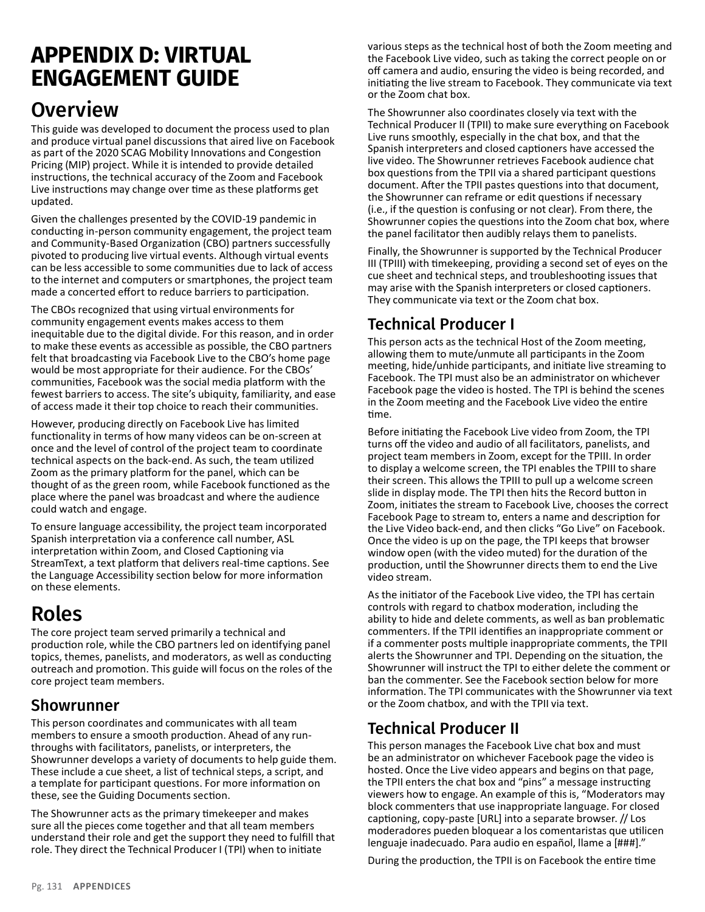# **APPENDIX D: VIRTUAL ENGAGEMENT GUIDE**

## **Overview**

This guide was developed to document the process used to plan and produce virtual panel discussions that aired live on Facebook as part of the 2020 SCAG Mobility Innovations and Congestion Pricing (MIP) project. While it is intended to provide detailed instructions, the technical accuracy of the Zoom and Facebook Live instructions may change over time as these platforms get updated.

Given the challenges presented by the COVID-19 pandemic in conducting in-person community engagement, the project team and Community-Based Organization (CBO) partners successfully pivoted to producing live virtual events. Although virtual events can be less accessible to some communities due to lack of access to the internet and computers or smartphones, the project team made a concerted effort to reduce barriers to participation.

The CBOs recognized that using virtual environments for community engagement events makes access to them inequitable due to the digital divide. For this reason, and in order to make these events as accessible as possible, the CBO partners felt that broadcasting via Facebook Live to the CBO's home page would be most appropriate for their audience. For the CBOs' communities, Facebook was the social media platform with the fewest barriers to access. The site's ubiquity, familiarity, and ease of access made it their top choice to reach their communities.

However, producing directly on Facebook Live has limited functionality in terms of how many videos can be on-screen at once and the level of control of the project team to coordinate technical aspects on the back-end. As such, the team utilized Zoom as the primary platform for the panel, which can be thought of as the green room, while Facebook functioned as the place where the panel was broadcast and where the audience could watch and engage.

To ensure language accessibility, the project team incorporated Spanish interpretation via a conference call number, ASL interpretation within Zoom, and Closed Captioning via StreamText, a text platform that delivers real-time captions. See the Language Accessibility section below for more information on these elements.

# Roles

The core project team served primarily a technical and production role, while the CBO partners led on identifying panel topics, themes, panelists, and moderators, as well as conducting outreach and promotion. This guide will focus on the roles of the core project team members.

#### Showrunner

This person coordinates and communicates with all team members to ensure a smooth production. Ahead of any runthroughs with facilitators, panelists, or interpreters, the Showrunner develops a variety of documents to help guide them. These include a cue sheet, a list of technical steps, a script, and a template for participant questions. For more information on these, see the Guiding Documents section.

The Showrunner acts as the primary timekeeper and makes sure all the pieces come together and that all team members understand their role and get the support they need to fulfill that role. They direct the Technical Producer I (TPI) when to initiate

various steps as the technical host of both the Zoom meeting and the Facebook Live video, such as taking the correct people on or off camera and audio, ensuring the video is being recorded, and initiating the live stream to Facebook. They communicate via text or the Zoom chat box.

The Showrunner also coordinates closely via text with the Technical Producer II (TPII) to make sure everything on Facebook Live runs smoothly, especially in the chat box, and that the Spanish interpreters and closed captioners have accessed the live video. The Showrunner retrieves Facebook audience chat box questions from the TPII via a shared participant questions document. After the TPII pastes questions into that document, the Showrunner can reframe or edit questions if necessary (i.e., if the question is confusing or not clear). From there, the Showrunner copies the questions into the Zoom chat box, where the panel facilitator then audibly relays them to panelists.

Finally, the Showrunner is supported by the Technical Producer III (TPIII) with timekeeping, providing a second set of eyes on the cue sheet and technical steps, and troubleshooting issues that may arise with the Spanish interpreters or closed captioners. They communicate via text or the Zoom chat box.

### Technical Producer I

This person acts as the technical Host of the Zoom meeting, allowing them to mute/unmute all participants in the Zoom meeting, hide/unhide participants, and initiate live streaming to Facebook. The TPI must also be an administrator on whichever Facebook page the video is hosted. The TPI is behind the scenes in the Zoom meeting and the Facebook Live video the entire time.

Before initiating the Facebook Live video from Zoom, the TPI turns off the video and audio of all facilitators, panelists, and project team members in Zoom, except for the TPIII. In order to display a welcome screen, the TPI enables the TPIII to share their screen. This allows the TPIII to pull up a welcome screen slide in display mode. The TPI then hits the Record button in Zoom, initiates the stream to Facebook Live, chooses the correct Facebook Page to stream to, enters a name and description for the Live Video back-end, and then clicks "Go Live" on Facebook. Once the video is up on the page, the TPI keeps that browser window open (with the video muted) for the duration of the production, until the Showrunner directs them to end the Live video stream.

As the initiator of the Facebook Live video, the TPI has certain controls with regard to chatbox moderation, including the ability to hide and delete comments, as well as ban problematic commenters. If the TPII identifies an inappropriate comment or if a commenter posts multiple inappropriate comments, the TPII alerts the Showrunner and TPI. Depending on the situation, the Showrunner will instruct the TPI to either delete the comment or ban the commenter. See the Facebook section below for more information. The TPI communicates with the Showrunner via text or the Zoom chatbox, and with the TPII via text.

#### Technical Producer II

This person manages the Facebook Live chat box and must be an administrator on whichever Facebook page the video is hosted. Once the Live video appears and begins on that page, the TPII enters the chat box and "pins" a message instructing viewers how to engage. An example of this is, "Moderators may block commenters that use inappropriate language. For closed captioning, copy-paste [URL] into a separate browser. // Los moderadores pueden bloquear a los comentaristas que utilicen lenguaje inadecuado. Para audio en español, llame a [###]."

During the production, the TPII is on Facebook the entire time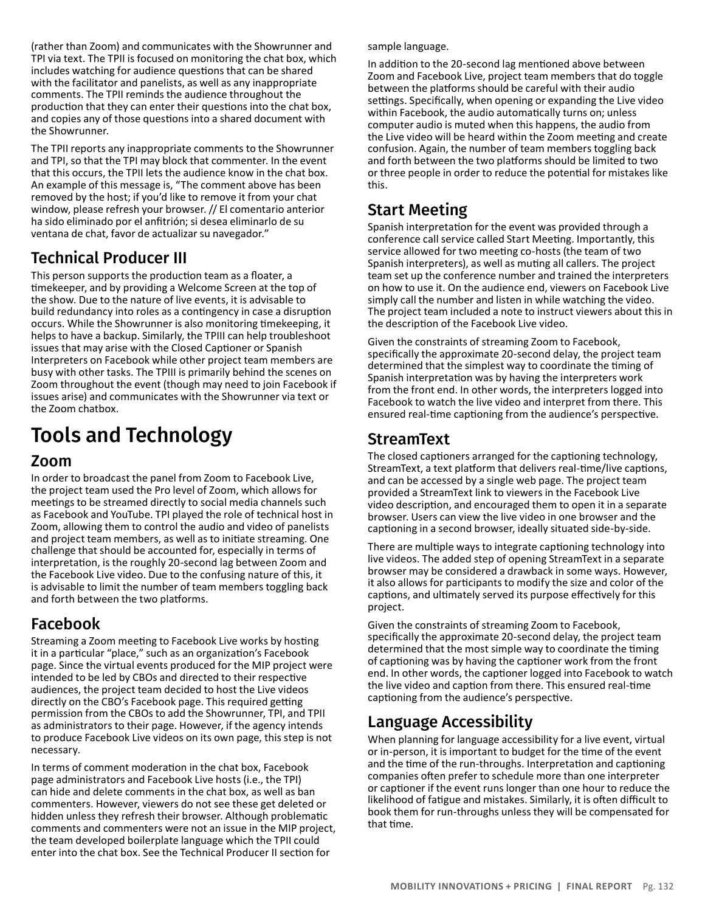(rather than Zoom) and communicates with the Showrunner and TPI via text. The TPII is focused on monitoring the chat box, which includes watching for audience questions that can be shared with the facilitator and panelists, as well as any inappropriate comments. The TPII reminds the audience throughout the production that they can enter their questions into the chat box, and copies any of those questions into a shared document with the Showrunner.

The TPII reports any inappropriate comments to the Showrunner and TPI, so that the TPI may block that commenter. In the event that this occurs, the TPII lets the audience know in the chat box. An example of this message is, "The comment above has been removed by the host; if you'd like to remove it from your chat window, please refresh your browser. // El comentario anterior ha sido eliminado por el anfitrión; si desea eliminarlo de su ventana de chat, favor de actualizar su navegador."

#### Technical Producer III

This person supports the production team as a floater, a timekeeper, and by providing a Welcome Screen at the top of the show. Due to the nature of live events, it is advisable to build redundancy into roles as a contingency in case a disruption occurs. While the Showrunner is also monitoring timekeeping, it helps to have a backup. Similarly, the TPIII can help troubleshoot issues that may arise with the Closed Captioner or Spanish Interpreters on Facebook while other project team members are busy with other tasks. The TPIII is primarily behind the scenes on Zoom throughout the event (though may need to join Facebook if issues arise) and communicates with the Showrunner via text or the Zoom chatbox.

# Tools and Technology

#### Zoom

In order to broadcast the panel from Zoom to Facebook Live, the project team used the Pro level of Zoom, which allows for meetings to be streamed directly to social media channels such as Facebook and YouTube. TPI played the role of technical host in Zoom, allowing them to control the audio and video of panelists and project team members, as well as to initiate streaming. One challenge that should be accounted for, especially in terms of interpretation, is the roughly 20-second lag between Zoom and the Facebook Live video. Due to the confusing nature of this, it is advisable to limit the number of team members toggling back and forth between the two platforms.

#### Facebook

Streaming a Zoom meeting to Facebook Live works by hosting it in a particular "place," such as an organization's Facebook page. Since the virtual events produced for the MIP project were intended to be led by CBOs and directed to their respective audiences, the project team decided to host the Live videos directly on the CBO's Facebook page. This required getting permission from the CBOs to add the Showrunner, TPI, and TPII as administrators to their page. However, if the agency intends to produce Facebook Live videos on its own page, this step is not necessary.

In terms of comment moderation in the chat box, Facebook page administrators and Facebook Live hosts (i.e., the TPI) can hide and delete comments in the chat box, as well as ban commenters. However, viewers do not see these get deleted or hidden unless they refresh their browser. Although problematic comments and commenters were not an issue in the MIP project, the team developed boilerplate language which the TPII could enter into the chat box. See the Technical Producer II section for

sample language.

In addition to the 20-second lag mentioned above between Zoom and Facebook Live, project team members that do toggle between the platforms should be careful with their audio settings. Specifically, when opening or expanding the Live video within Facebook, the audio automatically turns on; unless computer audio is muted when this happens, the audio from the Live video will be heard within the Zoom meeting and create confusion. Again, the number of team members toggling back and forth between the two platforms should be limited to two or three people in order to reduce the potential for mistakes like this.

#### Start Meeting

Spanish interpretation for the event was provided through a conference call service called Start Meeting. Importantly, this service allowed for two meeting co-hosts (the team of two Spanish interpreters), as well as muting all callers. The project team set up the conference number and trained the interpreters on how to use it. On the audience end, viewers on Facebook Live simply call the number and listen in while watching the video. The project team included a note to instruct viewers about this in the description of the Facebook Live video.

Given the constraints of streaming Zoom to Facebook, specifically the approximate 20-second delay, the project team determined that the simplest way to coordinate the timing of Spanish interpretation was by having the interpreters work from the front end. In other words, the interpreters logged into Facebook to watch the live video and interpret from there. This ensured real-time captioning from the audience's perspective.

#### StreamText

The closed captioners arranged for the captioning technology, StreamText, a text platform that delivers real-time/live captions, and can be accessed by a single web page. The project team provided a StreamText link to viewers in the Facebook Live video description, and encouraged them to open it in a separate browser. Users can view the live video in one browser and the captioning in a second browser, ideally situated side-by-side.

There are multiple ways to integrate captioning technology into live videos. The added step of opening StreamText in a separate browser may be considered a drawback in some ways. However, it also allows for participants to modify the size and color of the captions, and ultimately served its purpose effectively for this project.

Given the constraints of streaming Zoom to Facebook, specifically the approximate 20-second delay, the project team determined that the most simple way to coordinate the timing of captioning was by having the captioner work from the front end. In other words, the captioner logged into Facebook to watch the live video and caption from there. This ensured real-time captioning from the audience's perspective.

#### Language Accessibility

When planning for language accessibility for a live event, virtual or in-person, it is important to budget for the time of the event and the time of the run-throughs. Interpretation and captioning companies often prefer to schedule more than one interpreter or captioner if the event runs longer than one hour to reduce the likelihood of fatigue and mistakes. Similarly, it is often difficult to book them for run-throughs unless they will be compensated for that time.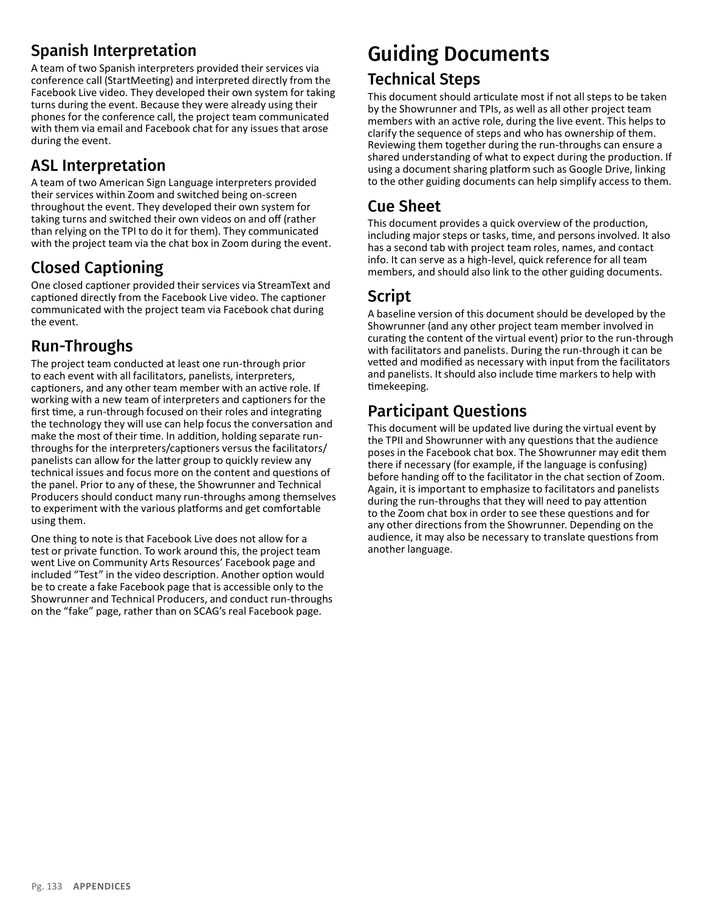#### Spanish Interpretation

A team of two Spanish interpreters provided their services via conference call (StartMeeting) and interpreted directly from the Facebook Live video. They developed their own system for taking turns during the event. Because they were already using their phones for the conference call, the project team communicated with them via email and Facebook chat for any issues that arose during the event.

### ASL Interpretation

A team of two American Sign Language interpreters provided their services within Zoom and switched being on-screen throughout the event. They developed their own system for taking turns and switched their own videos on and off (rather than relying on the TPI to do it for them). They communicated with the project team via the chat box in Zoom during the event.

### Closed Captioning

One closed captioner provided their services via StreamText and captioned directly from the Facebook Live video. The captioner communicated with the project team via Facebook chat during the event.

#### Run-Throughs

The project team conducted at least one run-through prior to each event with all facilitators, panelists, interpreters, captioners, and any other team member with an active role. If working with a new team of interpreters and captioners for the first time, a run-through focused on their roles and integrating the technology they will use can help focus the conversation and make the most of their time. In addition, holding separate runthroughs for the interpreters/captioners versus the facilitators/ panelists can allow for the latter group to quickly review any technical issues and focus more on the content and questions of the panel. Prior to any of these, the Showrunner and Technical Producers should conduct many run-throughs among themselves to experiment with the various platforms and get comfortable using them.

One thing to note is that Facebook Live does not allow for a test or private function. To work around this, the project team went Live on Community Arts Resources' Facebook page and included "Test" in the video description. Another option would be to create a fake Facebook page that is accessible only to the Showrunner and Technical Producers, and conduct run-throughs on the "fake" page, rather than on SCAG's real Facebook page.

## Guiding Documents Technical Steps

This document should articulate most if not all steps to be taken by the Showrunner and TPIs, as well as all other project team members with an active role, during the live event. This helps to clarify the sequence of steps and who has ownership of them. Reviewing them together during the run-throughs can ensure a shared understanding of what to expect during the production. If using a document sharing platform such as Google Drive, linking to the other guiding documents can help simplify access to them.

#### Cue Sheet

This document provides a quick overview of the production, including major steps or tasks, time, and persons involved. It also has a second tab with project team roles, names, and contact info. It can serve as a high-level, quick reference for all team members, and should also link to the other guiding documents.

### Script

A baseline version of this document should be developed by the Showrunner (and any other project team member involved in curating the content of the virtual event) prior to the run-through with facilitators and panelists. During the run-through it can be vetted and modified as necessary with input from the facilitators and panelists. It should also include time markers to help with timekeeping.

### Participant Questions

This document will be updated live during the virtual event by the TPII and Showrunner with any questions that the audience poses in the Facebook chat box. The Showrunner may edit them there if necessary (for example, if the language is confusing) before handing off to the facilitator in the chat section of Zoom. Again, it is important to emphasize to facilitators and panelists during the run-throughs that they will need to pay attention to the Zoom chat box in order to see these questions and for any other directions from the Showrunner. Depending on the audience, it may also be necessary to translate questions from another language.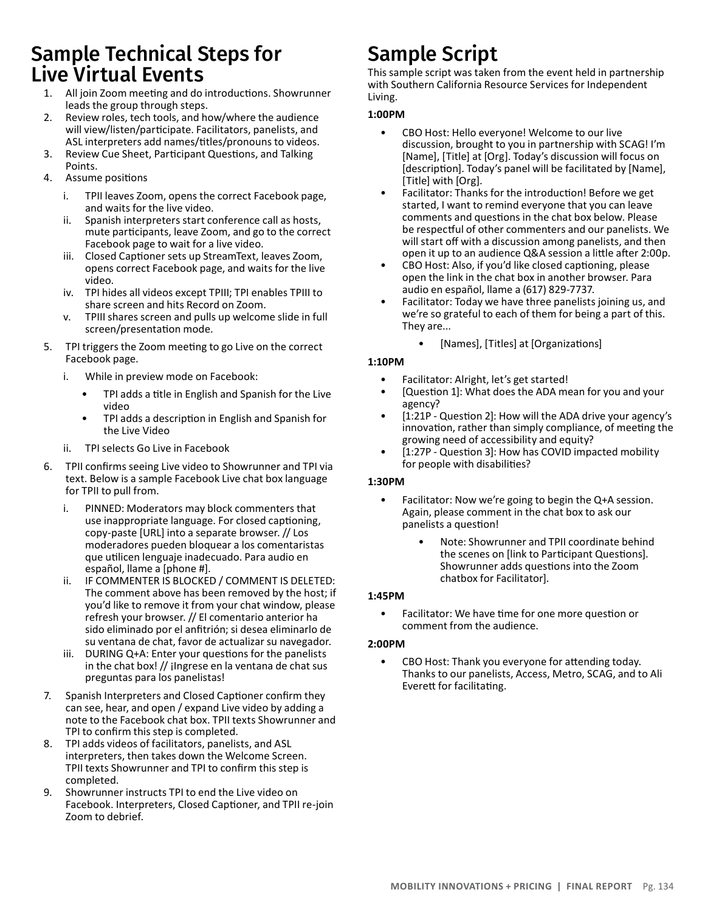### Sample Technical Steps for Live Virtual Events

- 1. All join Zoom meeting and do introductions. Showrunner leads the group through steps.
- 2. Review roles, tech tools, and how/where the audience will view/listen/participate. Facilitators, panelists, and ASL interpreters add names/titles/pronouns to videos.
- 3. Review Cue Sheet, Participant Questions, and Talking Points.
- 4. Assume positions
	- i. TPII leaves Zoom, opens the correct Facebook page, and waits for the live video.
	- ii. Spanish interpreters start conference call as hosts, mute participants, leave Zoom, and go to the correct Facebook page to wait for a live video.
	- iii. Closed Captioner sets up StreamText, leaves Zoom, opens correct Facebook page, and waits for the live video.
	- iv. TPI hides all videos except TPIII; TPI enables TPIII to share screen and hits Record on Zoom.
	- v. TPIII shares screen and pulls up welcome slide in full screen/presentation mode.
- 5. TPI triggers the Zoom meeting to go Live on the correct Facebook page.
	- i. While in preview mode on Facebook:
		- TPI adds a title in English and Spanish for the Live video
		- TPI adds a description in English and Spanish for the Live Video
	- ii. TPI selects Go Live in Facebook
- 6. TPII confirms seeing Live video to Showrunner and TPI via text. Below is a sample Facebook Live chat box language for TPII to pull from.
	- i. PINNED: Moderators may block commenters that use inappropriate language. For closed captioning, copy-paste [URL] into a separate browser. // Los moderadores pueden bloquear a los comentaristas que utilicen lenguaje inadecuado. Para audio en español, llame a [phone #].
	- ii. IF COMMENTER IS BLOCKED / COMMENT IS DELETED: The comment above has been removed by the host; if you'd like to remove it from your chat window, please refresh your browser. // El comentario anterior ha sido eliminado por el anfitrión; si desea eliminarlo de su ventana de chat, favor de actualizar su navegador.
	- iii. DURING Q+A: Enter your questions for the panelists in the chat box! // ¡Ingrese en la ventana de chat sus preguntas para los panelistas!
- 7. Spanish Interpreters and Closed Captioner confirm they can see, hear, and open / expand Live video by adding a note to the Facebook chat box. TPII texts Showrunner and TPI to confirm this step is completed.
- 8. TPI adds videos of facilitators, panelists, and ASL interpreters, then takes down the Welcome Screen. TPII texts Showrunner and TPI to confirm this step is completed.
- 9. Showrunner instructs TPI to end the Live video on Facebook. Interpreters, Closed Captioner, and TPII re-join Zoom to debrief.

# Sample Script

This sample script was taken from the event held in partnership with Southern California Resource Services for Independent Living.

#### **1:00PM**

- CBO Host: Hello everyone! Welcome to our live discussion, brought to you in partnership with SCAG! I'm [Name], [Title] at [Org]. Today's discussion will focus on [description]. Today's panel will be facilitated by [Name], [Title] with [Org].
- Facilitator: Thanks for the introduction! Before we get started, I want to remind everyone that you can leave comments and questions in the chat box below. Please be respectful of other commenters and our panelists. We will start off with a discussion among panelists, and then open it up to an audience Q&A session a little after 2:00p.
- CBO Host: Also, if you'd like closed captioning, please open the link in the chat box in another browser. Para audio en español, llame a (617) 829-7737.
- Facilitator: Today we have three panelists joining us, and we're so grateful to each of them for being a part of this. They are...
	- [Names], [Titles] at [Organizations]

#### **1:10PM**

- Facilitator: Alright, let's get started!
- [Question 1]: What does the ADA mean for you and your agency?
- [1:21P Question 2]: How will the ADA drive your agency's innovation, rather than simply compliance, of meeting the growing need of accessibility and equity?
- [1:27P Question 3]: How has COVID impacted mobility for people with disabilities?

#### **1:30PM**

- Facilitator: Now we're going to begin the Q+A session. Again, please comment in the chat box to ask our panelists a question!
	- Note: Showrunner and TPII coordinate behind the scenes on [link to Participant Questions]. Showrunner adds questions into the Zoom chatbox for Facilitator].

#### **1:45PM**

• Facilitator: We have time for one more question or comment from the audience.

#### **2:00PM**

• CBO Host: Thank you everyone for attending today. Thanks to our panelists, Access, Metro, SCAG, and to Ali Everett for facilitating.